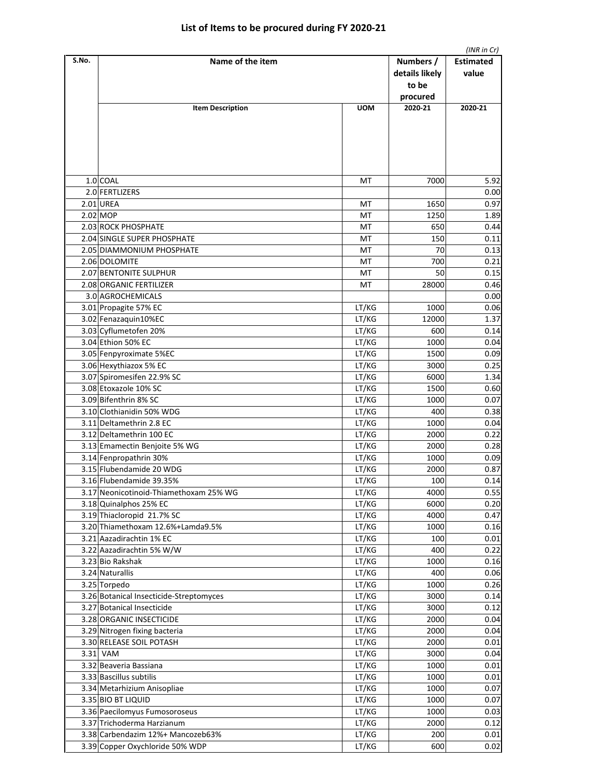|       |                                                    |                |                                      | (INR in Cr)               |
|-------|----------------------------------------------------|----------------|--------------------------------------|---------------------------|
| S.No. | Name of the item                                   |                | Numbers /<br>details likely<br>to be | <b>Estimated</b><br>value |
|       |                                                    |                | procured                             |                           |
|       | <b>Item Description</b>                            | <b>UOM</b>     | 2020-21                              | 2020-21                   |
|       |                                                    |                |                                      |                           |
|       | 1.0 COAL                                           | МT             | 7000                                 | 5.92                      |
|       | 2.0 FERTLIZERS                                     |                |                                      | 0.00                      |
|       | 2.01 UREA                                          | МT             | 1650                                 | 0.97                      |
|       | $2.02$ MOP                                         | МT             | 1250                                 | 1.89                      |
|       | 2.03 ROCK PHOSPHATE                                | МT             | 650                                  | 0.44                      |
|       | 2.04 SINGLE SUPER PHOSPHATE                        | МT             | 150                                  | 0.11                      |
|       | 2.05 DIAMMONIUM PHOSPHATE                          | МT             | 70                                   | 0.13                      |
|       | 2.06 DOLOMITE                                      | МT             | 700                                  | 0.21                      |
|       | 2.07 BENTONITE SULPHUR                             | МT             | 50                                   | 0.15                      |
|       | 2.08 ORGANIC FERTILIZER                            | МT             | 28000                                | 0.46                      |
|       | 3.0 AGROCHEMICALS                                  |                |                                      | 0.00                      |
|       | 3.01 Propagite 57% EC                              | LT/KG          | 1000                                 | 0.06                      |
|       | 3.02 Fenazaquin10%EC                               | LT/KG          | 12000                                | 1.37                      |
|       | 3.03 Cyflumetofen 20%                              | LT/KG          | 600                                  | 0.14                      |
|       | 3.04 Ethion 50% EC                                 | LT/KG          | 1000                                 | 0.04                      |
|       | 3.05 Fenpyroximate 5%EC                            | LT/KG          | 1500                                 | 0.09                      |
|       | 3.06 Hexythiazox 5% EC                             | LT/KG          | 3000                                 | 0.25                      |
|       | 3.07 Spiromesifen 22.9% SC                         | LT/KG          | 6000                                 | 1.34                      |
|       | 3.08 Etoxazole 10% SC                              | LT/KG          | 1500                                 | 0.60                      |
|       | 3.09 Bifenthrin 8% SC                              | LT/KG          | 1000                                 | 0.07                      |
|       | 3.10 Clothianidin 50% WDG                          | LT/KG          | 400                                  | 0.38                      |
|       | 3.11 Deltamethrin 2.8 EC                           | LT/KG          | 1000                                 | 0.04                      |
|       | 3.12 Deltamethrin 100 EC                           | LT/KG          | 2000                                 | 0.22                      |
|       | 3.13 Emamectin Benjoite 5% WG                      | LT/KG<br>LT/KG | 2000<br>1000                         | 0.28<br>0.09              |
|       | 3.14 Fenpropathrin 30%<br>3.15 Flubendamide 20 WDG | LT/KG          | 2000                                 | 0.87                      |
|       | 3.16 Flubendamide 39.35%                           | LT/KG          | 100                                  | 0.14                      |
|       | 3.17 Neonicotinoid-Thiamethoxam 25% WG             | LT/KG          | 4000                                 | 0.55                      |
|       | 3.18 Quinalphos 25% EC                             | LT/KG          | 6000                                 | 0.20                      |
|       | 3.19 Thiacloropid 21.7% SC                         | LT/KG          | 4000                                 | 0.47                      |
|       | 3.20 Thiamethoxam 12.6%+Lamda9.5%                  | LT/KG          | 1000                                 | 0.16                      |
|       | 3.21 Aazadirachtin 1% EC                           | LT/KG          | 100                                  | 0.01                      |
|       | 3.22 Aazadirachtin 5% W/W                          | LT/KG          | 400                                  | 0.22                      |
|       | 3.23 Bio Rakshak                                   | LT/KG          | 1000                                 | 0.16                      |
|       | 3.24 Naturallis                                    | LT/KG          | 400                                  | 0.06                      |
|       | 3.25 Torpedo                                       | LT/KG          | 1000                                 | 0.26                      |
|       | 3.26 Botanical Insecticide-Streptomyces            | LT/KG          | 3000                                 | 0.14                      |
|       | 3.27 Botanical Insecticide                         | LT/KG          | 3000                                 | 0.12                      |
|       | 3.28 ORGANIC INSECTICIDE                           | LT/KG          | 2000                                 | 0.04                      |
|       | 3.29 Nitrogen fixing bacteria                      | LT/KG          | 2000                                 | 0.04                      |
|       | 3.30 RELEASE SOIL POTASH                           | LT/KG          | 2000                                 | 0.01                      |
|       | 3.31 VAM                                           | LT/KG          | 3000                                 | 0.04                      |
|       | 3.32 Beaveria Bassiana                             | LT/KG          | 1000                                 | 0.01                      |
|       | 3.33 Bascillus subtilis                            | LT/KG          | 1000                                 | 0.01                      |
|       | 3.34 Metarhizium Anisopliae                        | LT/KG          | 1000                                 | 0.07                      |
|       | 3.35 BIO BT LIQUID                                 | LT/KG          | 1000                                 | 0.07                      |
|       | 3.36 Paecilomyus Fumosoroseus                      | LT/KG          | 1000                                 | 0.03                      |
|       | 3.37 Trichoderma Harzianum                         | LT/KG          | 2000                                 | 0.12                      |
|       | 3.38 Carbendazim 12%+ Mancozeb63%                  | LT/KG          | 200                                  | 0.01                      |
|       | 3.39 Copper Oxychloride 50% WDP                    | LT/KG          | 600                                  | 0.02                      |
|       |                                                    |                |                                      |                           |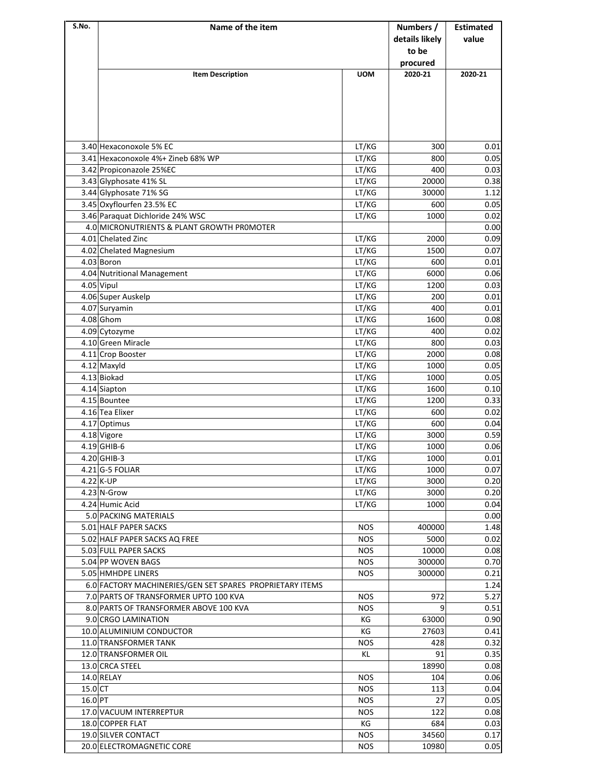| S.No.     | Name of the item                                         |                          | Numbers /<br>details likely<br>to be<br>procured | <b>Estimated</b><br>value |
|-----------|----------------------------------------------------------|--------------------------|--------------------------------------------------|---------------------------|
|           | <b>Item Description</b>                                  | <b>UOM</b>               | 2020-21                                          | 2020-21                   |
|           | 3.40 Hexaconoxole 5% EC                                  | LT/KG                    | 300                                              | 0.01                      |
|           | 3.41 Hexaconoxole 4%+ Zineb 68% WP                       | LT/KG                    | 800                                              | 0.05                      |
|           | 3.42 Propiconazole 25%EC                                 | LT/KG                    | 400                                              | 0.03                      |
|           | 3.43 Glyphosate 41% SL                                   | LT/KG                    | 20000                                            | 0.38                      |
|           | 3.44 Glyphosate 71% SG                                   | LT/KG                    | 30000                                            | 1.12                      |
|           | 3.45 Oxyflourfen 23.5% EC                                | LT/KG                    | 600                                              | 0.05                      |
|           | 3.46 Paraquat Dichloride 24% WSC                         | LT/KG                    | 1000                                             | 0.02                      |
|           | 4.0 MICRONUTRIENTS & PLANT GROWTH PROMOTER               |                          |                                                  | 0.00                      |
|           | 4.01 Chelated Zinc                                       | LT/KG<br>LT/KG           | 2000                                             | 0.09                      |
|           | 4.02 Chelated Magnesium<br>4.03 Boron                    | LT/KG                    | 1500<br>600                                      | 0.07<br>0.01              |
|           | 4.04 Nutritional Management                              | LT/KG                    | 6000                                             | 0.06                      |
|           | 4.05 Vipul                                               | LT/KG                    | 1200                                             | 0.03                      |
|           | 4.06 Super Auskelp                                       | LT/KG                    | 200                                              | 0.01                      |
|           | 4.07 Suryamin                                            | LT/KG                    | 400                                              | 0.01                      |
|           | 4.08 Ghom                                                | LT/KG                    | 1600                                             | 0.08                      |
|           | 4.09 Cytozyme                                            | LT/KG                    | 400                                              | 0.02                      |
|           | 4.10 Green Miracle                                       | LT/KG                    | 800                                              | 0.03                      |
|           | 4.11 Crop Booster                                        | LT/KG                    | 2000                                             | 0.08                      |
|           | 4.12 Maxyld                                              | LT/KG                    | 1000                                             | 0.05                      |
|           | 4.13 Biokad                                              | LT/KG                    | 1000                                             | 0.05                      |
|           | 4.14 Siapton                                             | LT/KG                    | 1600                                             | 0.10                      |
|           | 4.15 Bountee                                             | LT/KG                    | 1200                                             | 0.33                      |
|           | 4.16 Tea Elixer                                          | LT/KG                    | 600                                              | 0.02                      |
|           | 4.17 Optimus                                             | LT/KG                    | 600                                              | 0.04                      |
|           | 4.18 Vigore                                              | LT/KG                    | 3000                                             | 0.59                      |
|           | 4.19 GHIB-6                                              | LT/KG                    | 1000                                             | 0.06                      |
|           | 4.20 GHIB-3                                              | LT/KG                    | 1000                                             | 0.01                      |
|           | 4.21 G-5 FOLIAR<br>$4.22$ K-UP                           | LT/KG<br>LT/KG           | 1000<br>3000                                     | 0.07<br>0.20              |
|           | 4.23 N-Grow                                              | LT/KG                    | 3000                                             | 0.20                      |
|           | 4.24 Humic Acid                                          | LT/KG                    | 1000                                             | 0.04                      |
|           | 5.0 PACKING MATERIALS                                    |                          |                                                  | 0.00                      |
|           | 5.01 HALF PAPER SACKS                                    | NOS.                     | 400000                                           | 1.48                      |
|           | 5.02 HALF PAPER SACKS AQ FREE                            | <b>NOS</b>               | 5000                                             | 0.02                      |
|           | 5.03 FULL PAPER SACKS                                    | <b>NOS</b>               | 10000                                            | 0.08                      |
|           | 5.04 PP WOVEN BAGS                                       | <b>NOS</b>               | 300000                                           | 0.70                      |
|           | 5.05 HMHDPE LINERS                                       | <b>NOS</b>               | 300000                                           | 0.21                      |
|           | 6.0 FACTORY MACHINERIES/GEN SET SPARES PROPRIETARY ITEMS |                          |                                                  | 1.24                      |
|           | 7.0 PARTS OF TRANSFORMER UPTO 100 KVA                    | <b>NOS</b>               | 972                                              | 5.27                      |
|           | 8.0 PARTS OF TRANSFORMER ABOVE 100 KVA                   | <b>NOS</b>               | 9                                                | 0.51                      |
|           | 9.0 CRGO LAMINATION                                      | КG                       | 63000                                            | 0.90                      |
|           | 10.0 ALUMINIUM CONDUCTOR                                 | КG                       | 27603                                            | 0.41                      |
|           | 11.0 TRANSFORMER TANK                                    | <b>NOS</b>               | 428                                              | 0.32                      |
|           | 12.0 TRANSFORMER OIL                                     | KL                       | 91                                               | 0.35                      |
|           | 13.0 CRCA STEEL                                          |                          | 18990                                            | 0.08                      |
| $15.0$ CT | 14.0 RELAY                                               | <b>NOS</b><br><b>NOS</b> | 104<br>113                                       | 0.06<br>0.04              |
| 16.0 PT   |                                                          | <b>NOS</b>               | 27                                               | 0.05                      |
|           | 17.0 VACUUM INTERREPTUR                                  | <b>NOS</b>               | 122                                              | 0.08                      |
|           | 18.0 COPPER FLAT                                         | КG                       | 684                                              | 0.03                      |
|           | 19.0 SILVER CONTACT                                      | <b>NOS</b>               | 34560                                            | 0.17                      |
|           | 20.0 ELECTROMAGNETIC CORE                                | <b>NOS</b>               | 10980                                            | 0.05                      |